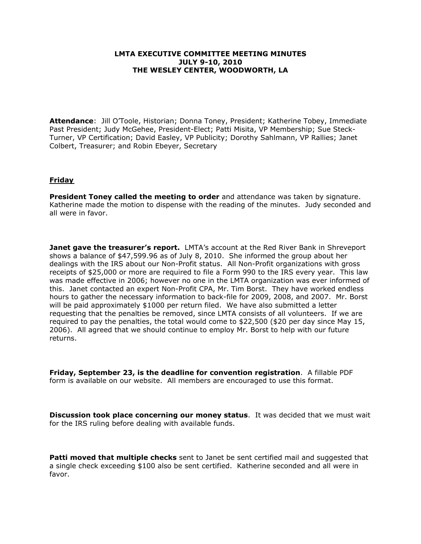## **LMTA EXECUTIVE COMMITTEE MEETING MINUTES JULY 9-10, 2010 THE WESLEY CENTER, WOODWORTH, LA**

**Attendance**: Jill O'Toole, Historian; Donna Toney, President; Katherine Tobey, Immediate Past President; Judy McGehee, President-Elect; Patti Misita, VP Membership; Sue Steck-Turner, VP Certification; David Easley, VP Publicity; Dorothy Sahlmann, VP Rallies; Janet Colbert, Treasurer; and Robin Ebeyer, Secretary

## **Friday**

**President Toney called the meeting to order** and attendance was taken by signature. Katherine made the motion to dispense with the reading of the minutes. Judy seconded and all were in favor.

**Janet gave the treasurer's report.** LMTA's account at the Red River Bank in Shreveport shows a balance of \$47,599.96 as of July 8, 2010. She informed the group about her dealings with the IRS about our Non-Profit status. All Non-Profit organizations with gross receipts of \$25,000 or more are required to file a Form 990 to the IRS every year. This law was made effective in 2006; however no one in the LMTA organization was ever informed of this. Janet contacted an expert Non-Profit CPA, Mr. Tim Borst. They have worked endless hours to gather the necessary information to back-file for 2009, 2008, and 2007. Mr. Borst will be paid approximately \$1000 per return filed. We have also submitted a letter requesting that the penalties be removed, since LMTA consists of all volunteers. If we are required to pay the penalties, the total would come to \$22,500 (\$20 per day since May 15, 2006). All agreed that we should continue to employ Mr. Borst to help with our future returns.

**Friday, September 23, is the deadline for convention registration**. A fillable PDF form is available on our website. All members are encouraged to use this format.

**Discussion took place concerning our money status**. It was decided that we must wait for the IRS ruling before dealing with available funds.

**Patti moved that multiple checks** sent to Janet be sent certified mail and suggested that a single check exceeding \$100 also be sent certified. Katherine seconded and all were in favor.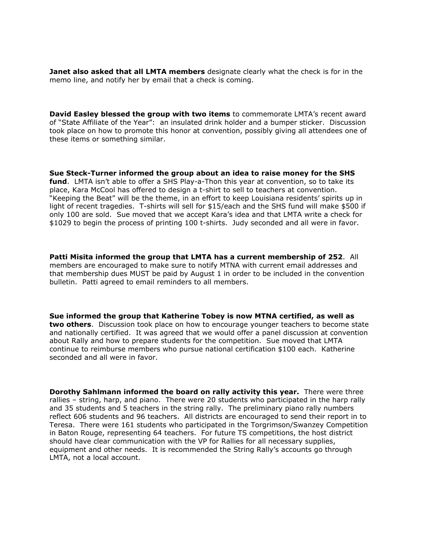**Janet also asked that all LMTA members** designate clearly what the check is for in the memo line, and notify her by email that a check is coming.

**David Easley blessed the group with two items** to commemorate LMTA's recent award of "State Affiliate of the Year": an insulated drink holder and a bumper sticker. Discussion took place on how to promote this honor at convention, possibly giving all attendees one of these items or something similar.

**Sue Steck-Turner informed the group about an idea to raise money for the SHS fund**. LMTA isn't able to offer a SHS Play-a-Thon this year at convention, so to take its place, Kara McCool has offered to design a t-shirt to sell to teachers at convention. "Keeping the Beat" will be the theme, in an effort to keep Louisiana residents' spirits up in light of recent tragedies. T-shirts will sell for \$15/each and the SHS fund will make \$500 if only 100 are sold. Sue moved that we accept Kara's idea and that LMTA write a check for \$1029 to begin the process of printing 100 t-shirts. Judy seconded and all were in favor.

**Patti Misita informed the group that LMTA has a current membership of 252**. All members are encouraged to make sure to notify MTNA with current email addresses and that membership dues MUST be paid by August 1 in order to be included in the convention bulletin. Patti agreed to email reminders to all members.

**Sue informed the group that Katherine Tobey is now MTNA certified, as well as two others**. Discussion took place on how to encourage younger teachers to become state and nationally certified. It was agreed that we would offer a panel discussion at convention about Rally and how to prepare students for the competition. Sue moved that LMTA continue to reimburse members who pursue national certification \$100 each. Katherine seconded and all were in favor.

**Dorothy Sahlmann informed the board on rally activity this year.** There were three rallies – string, harp, and piano. There were 20 students who participated in the harp rally and 35 students and 5 teachers in the string rally. The preliminary piano rally numbers reflect 606 students and 96 teachers. All districts are encouraged to send their report in to Teresa. There were 161 students who participated in the Torgrimson/Swanzey Competition in Baton Rouge, representing 64 teachers. For future TS competitions, the host district should have clear communication with the VP for Rallies for all necessary supplies, equipment and other needs. It is recommended the String Rally's accounts go through LMTA, not a local account.